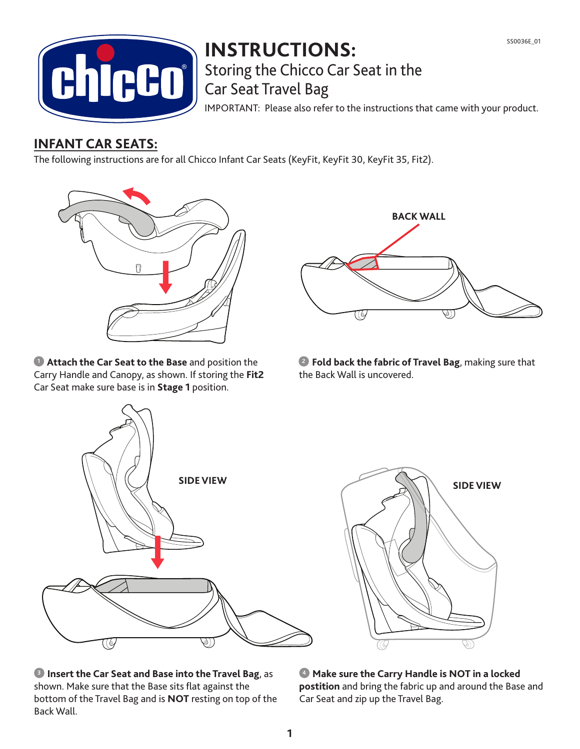

## **INSTRUCTIONS:** Storing the Chicco Car Seat in the Car Seat Travel Bag

IMPORTANT: Please also refer to the instructions that came with your product.

## **INFANT CAR SEATS:**

The following instructions are for all Chicco Infant Car Seats (KeyFit, KeyFit 30, KeyFit 35, Fit2).



**Attach the Car Seat to the Base** and position the Carry Handle and Canopy, as shown. If storing the **Fit2**  Car Seat make sure base is in **Stage 1** position.



**1** Attach the Car Seat to the Base and position the **2** Fold back the fabric of Travel Bag, making sure that the Back Wall is uncovered.



**B** Insert the Car Seat and Base into the Travel Bag, as shown. Make sure that the Base sits flat against the bottom of the Travel Bag and is **NOT** resting on top of the Back Wall.



 **Make sure the Carry Handle is NOT in a locked 4 postition** and bring the fabric up and around the Base and Car Seat and zip up the Travel Bag.